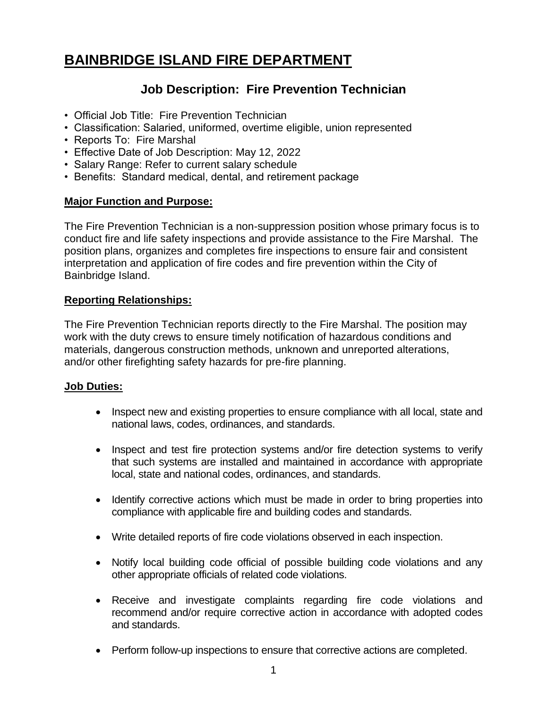# **BAINBRIDGE ISLAND FIRE DEPARTMENT**

## **Job Description: Fire Prevention Technician**

- Official Job Title: Fire Prevention Technician
- Classification: Salaried, uniformed, overtime eligible, union represented
- Reports To: Fire Marshal
- Effective Date of Job Description: May 12, 2022
- Salary Range: Refer to current salary schedule
- Benefits: Standard medical, dental, and retirement package

#### **Major Function and Purpose:**

The Fire Prevention Technician is a non-suppression position whose primary focus is to conduct fire and life safety inspections and provide assistance to the Fire Marshal. The position plans, organizes and completes fire inspections to ensure fair and consistent interpretation and application of fire codes and fire prevention within the City of Bainbridge Island.

#### **Reporting Relationships:**

The Fire Prevention Technician reports directly to the Fire Marshal. The position may work with the duty crews to ensure timely notification of hazardous conditions and materials, dangerous construction methods, unknown and unreported alterations, and/or other firefighting safety hazards for pre-fire planning.

#### **Job Duties:**

- Inspect new and existing properties to ensure compliance with all local, state and national laws, codes, ordinances, and standards.
- Inspect and test fire protection systems and/or fire detection systems to verify that such systems are installed and maintained in accordance with appropriate local, state and national codes, ordinances, and standards.
- Identify corrective actions which must be made in order to bring properties into compliance with applicable fire and building codes and standards.
- Write detailed reports of fire code violations observed in each inspection.
- Notify local building code official of possible building code violations and any other appropriate officials of related code violations.
- Receive and investigate complaints regarding fire code violations and recommend and/or require corrective action in accordance with adopted codes and standards.
- Perform follow-up inspections to ensure that corrective actions are completed.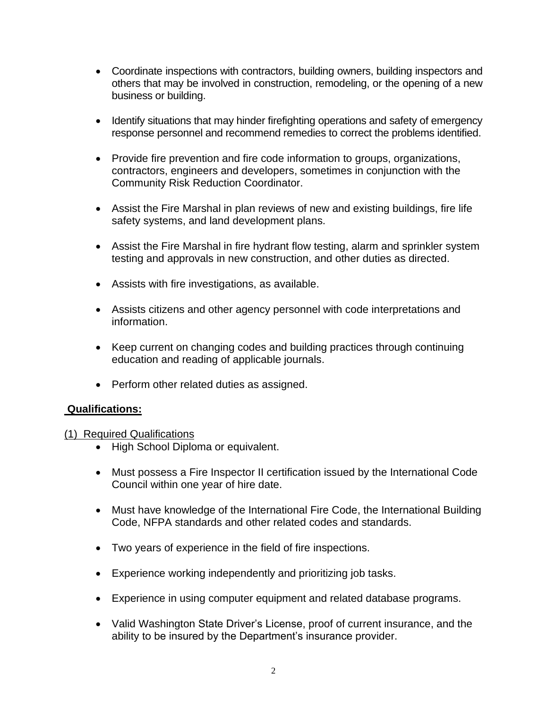- Coordinate inspections with contractors, building owners, building inspectors and others that may be involved in construction, remodeling, or the opening of a new business or building.
- Identify situations that may hinder firefighting operations and safety of emergency response personnel and recommend remedies to correct the problems identified.
- Provide fire prevention and fire code information to groups, organizations, contractors, engineers and developers, sometimes in conjunction with the Community Risk Reduction Coordinator.
- Assist the Fire Marshal in plan reviews of new and existing buildings, fire life safety systems, and land development plans.
- Assist the Fire Marshal in fire hydrant flow testing, alarm and sprinkler system testing and approvals in new construction, and other duties as directed.
- Assists with fire investigations, as available.
- Assists citizens and other agency personnel with code interpretations and information.
- Keep current on changing codes and building practices through continuing education and reading of applicable journals.
- Perform other related duties as assigned.

#### **Qualifications:**

#### (1) Required Qualifications

- High School Diploma or equivalent.
- Must possess a Fire Inspector II certification issued by the International Code Council within one year of hire date.
- Must have knowledge of the International Fire Code, the International Building Code, NFPA standards and other related codes and standards.
- Two years of experience in the field of fire inspections.
- Experience working independently and prioritizing job tasks.
- Experience in using computer equipment and related database programs.
- Valid Washington State Driver's License, proof of current insurance, and the ability to be insured by the Department's insurance provider.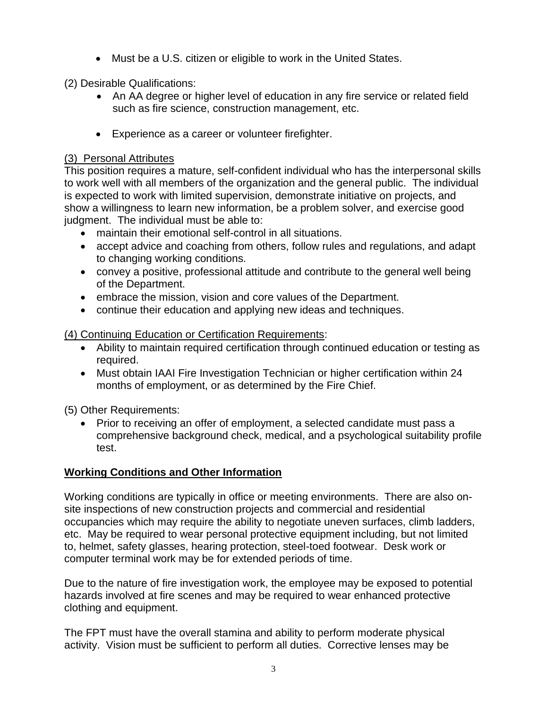• Must be a U.S. citizen or eligible to work in the United States.

(2) Desirable Qualifications:

- An AA degree or higher level of education in any fire service or related field such as fire science, construction management, etc.
- Experience as a career or volunteer firefighter.

### (3) Personal Attributes

This position requires a mature, self-confident individual who has the interpersonal skills to work well with all members of the organization and the general public. The individual is expected to work with limited supervision, demonstrate initiative on projects, and show a willingness to learn new information, be a problem solver, and exercise good judgment. The individual must be able to:

- maintain their emotional self-control in all situations.
- accept advice and coaching from others, follow rules and regulations, and adapt to changing working conditions.
- convey a positive, professional attitude and contribute to the general well being of the Department.
- embrace the mission, vision and core values of the Department.
- continue their education and applying new ideas and techniques.

(4) Continuing Education or Certification Requirements:

- Ability to maintain required certification through continued education or testing as required.
- Must obtain IAAI Fire Investigation Technician or higher certification within 24 months of employment, or as determined by the Fire Chief.

(5) Other Requirements:

• Prior to receiving an offer of employment, a selected candidate must pass a comprehensive background check, medical, and a psychological suitability profile test.

## **Working Conditions and Other Information**

Working conditions are typically in office or meeting environments. There are also onsite inspections of new construction projects and commercial and residential occupancies which may require the ability to negotiate uneven surfaces, climb ladders, etc. May be required to wear personal protective equipment including, but not limited to, helmet, safety glasses, hearing protection, steel-toed footwear. Desk work or computer terminal work may be for extended periods of time.

Due to the nature of fire investigation work, the employee may be exposed to potential hazards involved at fire scenes and may be required to wear enhanced protective clothing and equipment.

The FPT must have the overall stamina and ability to perform moderate physical activity. Vision must be sufficient to perform all duties. Corrective lenses may be